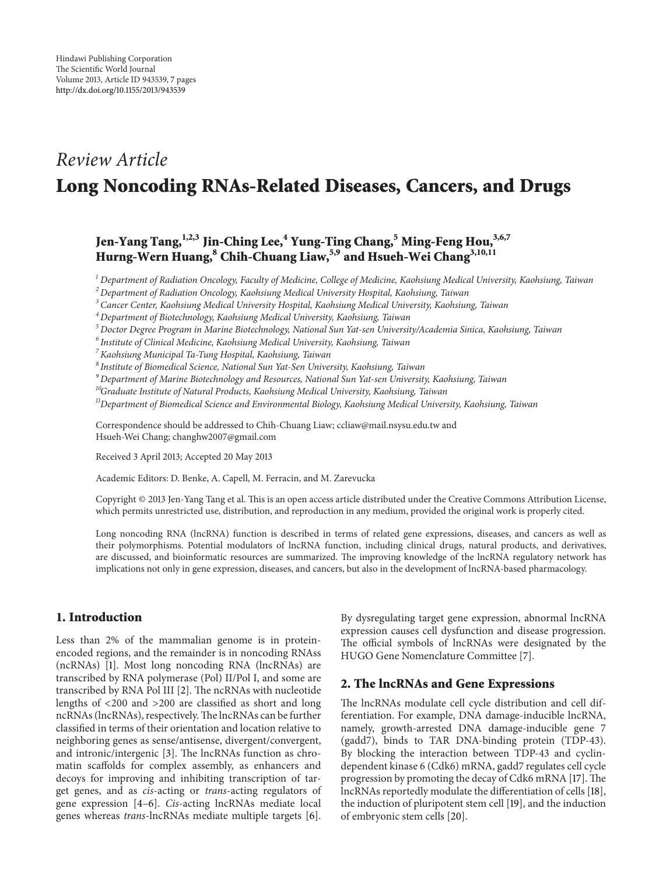# *Review Article* **Long Noncoding RNAs-Related Diseases, Cancers, and Drugs**

## **Jen-Yang Tang,1,2,3 Jin-Ching Lee,<sup>4</sup> Yung-Ting Chang,<sup>5</sup> Ming-Feng Hou,3,6,7 Hurng-Wern Huang,<sup>8</sup> Chih-Chuang Liaw,5,9 and Hsueh-Wei Chang3,10,11**

*<sup>1</sup> Department of Radiation Oncology, Faculty of Medicine, College of Medicine, Kaohsiung Medical University, Kaohsiung, Taiwan*

*<sup>2</sup> Department of Radiation Oncology, Kaohsiung Medical University Hospital, Kaohsiung, Taiwan*

*<sup>3</sup> Cancer Center, Kaohsiung Medical University Hospital, Kaohsiung Medical University, Kaohsiung, Taiwan*

*<sup>4</sup> Department of Biotechnology, Kaohsiung Medical University, Kaohsiung, Taiwan*

*<sup>5</sup> Doctor Degree Program in Marine Biotechnology, National Sun Yat-sen University/Academia Sinica, Kaohsiung, Taiwan*

*<sup>6</sup> Institute of Clinical Medicine, Kaohsiung Medical University, Kaohsiung, Taiwan*

*7Kaohsiung Municipal Ta-Tung Hospital, Kaohsiung, Taiwan*

*<sup>8</sup> Institute of Biomedical Science, National Sun Yat-Sen University, Kaohsiung, Taiwan*

*<sup>9</sup> Department of Marine Biotechnology and Resources, National Sun Yat-sen University, Kaohsiung, Taiwan*

*10Graduate Institute of Natural Products, Kaohsiung Medical University, Kaohsiung, Taiwan*

*11Department of Biomedical Science and Environmental Biology, Kaohsiung Medical University, Kaohsiung, Taiwan*

Correspondence should be addressed to Chih-Chuang Liaw; ccliaw@mail.nsysu.edu.tw and Hsueh-Wei Chang; changhw2007@gmail.com

Received 3 April 2013; Accepted 20 May 2013

Academic Editors: D. Benke, A. Capell, M. Ferracin, and M. Zarevucka

Copyright © 2013 Jen-Yang Tang et al. This is an open access article distributed under the Creative Commons Attribution License, which permits unrestricted use, distribution, and reproduction in any medium, provided the original work is properly cited.

Long noncoding RNA (lncRNA) function is described in terms of related gene expressions, diseases, and cancers as well as their polymorphisms. Potential modulators of lncRNA function, including clinical drugs, natural products, and derivatives, are discussed, and bioinformatic resources are summarized. The improving knowledge of the lncRNA regulatory network has implications not only in gene expression, diseases, and cancers, but also in the development of lncRNA-based pharmacology.

## **1. Introduction**

Less than 2% of the mammalian genome is in proteinencoded regions, and the remainder is in noncoding RNAss (ncRNAs) [\[1](#page-3-1)]. Most long noncoding RNA (lncRNAs) are transcribed by RNA polymerase (Pol) II/Pol I, and some are transcribed by RNA Pol III [\[2](#page-3-2)]. The ncRNAs with nucleotide lengths of <200 and >200 are classified as short and long ncRNAs (lncRNAs), respectively.The lncRNAs can be further classified in terms of their orientation and location relative to neighboring genes as sense/antisense, divergent/convergent, and intronic/intergenic [\[3\]](#page-3-3). The lncRNAs function as chromatin scaffolds for complex assembly, as enhancers and decoys for improving and inhibiting transcription of target genes, and as *cis*-acting or *trans*-acting regulators of gene expression [\[4](#page-3-4)[–6](#page-3-5)]. *Cis*-acting lncRNAs mediate local genes whereas *trans*-lncRNAs mediate multiple targets [\[6\]](#page-3-5).

By dysregulating target gene expression, abnormal lncRNA expression causes cell dysfunction and disease progression. The official symbols of lncRNAs were designated by the HUGO Gene Nomenclature Committee [\[7](#page-3-6)].

### **2. The lncRNAs and Gene Expressions**

The lncRNAs modulate cell cycle distribution and cell differentiation. For example, DNA damage-inducible lncRNA, namely, growth-arrested DNA damage-inducible gene 7 (gadd7), binds to TAR DNA-binding protein (TDP-43). By blocking the interaction between TDP-43 and cyclindependent kinase 6 (Cdk6) mRNA, gadd7 regulates cell cycle progression by promoting the decay of Cdk6 mRNA [\[17](#page-4-0)]. The lncRNAs reportedly modulate the differentiation of cells [\[18](#page-4-1)], the induction of pluripotent stem cell [\[19](#page-4-2)], and the induction of embryonic stem cells [\[20\]](#page-4-3).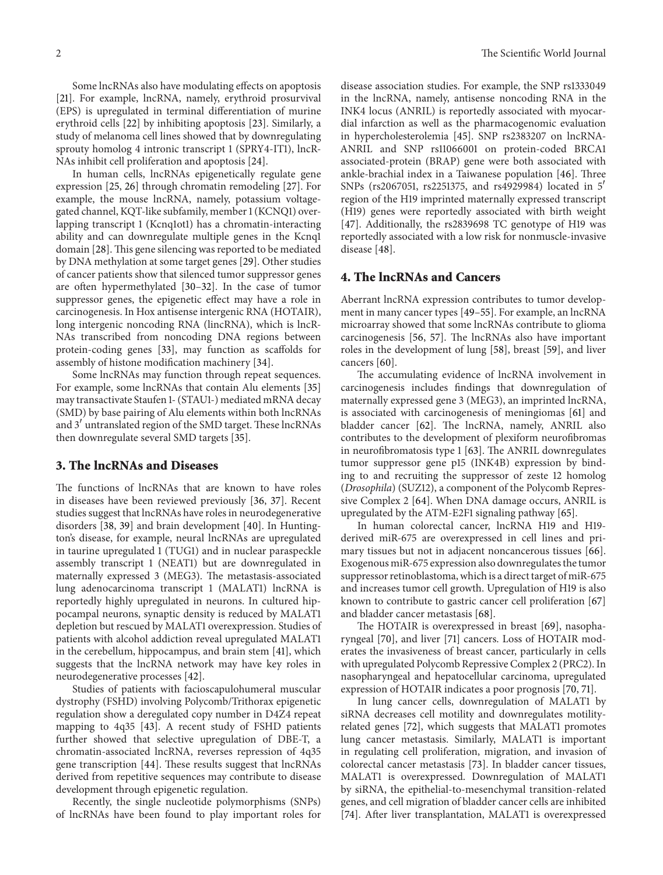Some lncRNAs also have modulating effects on apoptosis [\[21](#page-4-4)]. For example, lncRNA, namely, erythroid prosurvival (EPS) is upregulated in terminal differentiation of murine erythroid cells [\[22\]](#page-4-5) by inhibiting apoptosis [\[23\]](#page-4-6). Similarly, a study of melanoma cell lines showed that by downregulating sprouty homolog 4 intronic transcript 1 (SPRY4-IT1), lncR-NAs inhibit cell proliferation and apoptosis [\[24](#page-4-7)].

In human cells, lncRNAs epigenetically regulate gene expression [\[25](#page-4-8), [26](#page-4-9)] through chromatin remodeling [\[27\]](#page-4-10). For example, the mouse lncRNA, namely, potassium voltagegated channel, KQT-like subfamily, member 1 (KCNQ1) overlapping transcript 1 (Kcnq1ot1) has a chromatin-interacting ability and can downregulate multiple genes in the Kcnq1 domain [\[28\]](#page-4-11). This gene silencing was reported to be mediated by DNA methylation at some target genes [\[29\]](#page-4-12). Other studies of cancer patients show that silenced tumor suppressor genes are often hypermethylated [\[30](#page-4-13)[–32](#page-4-14)]. In the case of tumor suppressor genes, the epigenetic effect may have a role in carcinogenesis. In Hox antisense intergenic RNA (HOTAIR), long intergenic noncoding RNA (lincRNA), which is lncR-NAs transcribed from noncoding DNA regions between protein-coding genes [\[33\]](#page-4-15), may function as scaffolds for assembly of histone modification machinery [\[34\]](#page-4-16).

Some lncRNAs may function through repeat sequences. For example, some lncRNAs that contain Alu elements [\[35](#page-4-17)] may transactivate Staufen 1- (STAU1-) mediated mRNA decay (SMD) by base pairing of Alu elements within both lncRNAs and 3' untranslated region of the SMD target. These lncRNAs then downregulate several SMD targets [\[35](#page-4-17)].

### **3. The lncRNAs and Diseases**

The functions of lncRNAs that are known to have roles in diseases have been reviewed previously [\[36](#page-4-18), [37](#page-4-19)]. Recent studies suggest that lncRNAs have roles in neurodegenerative disorders [\[38](#page-4-20), [39\]](#page-4-21) and brain development [\[40](#page-4-22)]. In Huntington's disease, for example, neural lncRNAs are upregulated in taurine upregulated 1 (TUG1) and in nuclear paraspeckle assembly transcript 1 (NEAT1) but are downregulated in maternally expressed 3 (MEG3). The metastasis-associated lung adenocarcinoma transcript 1 (MALAT1) lncRNA is reportedly highly upregulated in neurons. In cultured hippocampal neurons, synaptic density is reduced by MALAT1 depletion but rescued by MALAT1 overexpression. Studies of patients with alcohol addiction reveal upregulated MALAT1 in the cerebellum, hippocampus, and brain stem [\[41](#page-4-23)], which suggests that the lncRNA network may have key roles in neurodegenerative processes [\[42\]](#page-4-24).

Studies of patients with facioscapulohumeral muscular dystrophy (FSHD) involving Polycomb/Trithorax epigenetic regulation show a deregulated copy number in D4Z4 repeat mapping to 4q35 [\[43\]](#page-4-25). A recent study of FSHD patients further showed that selective upregulation of DBE-T, a chromatin-associated lncRNA, reverses repression of 4q35 gene transcription [\[44\]](#page-4-26). These results suggest that lncRNAs derived from repetitive sequences may contribute to disease development through epigenetic regulation.

Recently, the single nucleotide polymorphisms (SNPs) of lncRNAs have been found to play important roles for disease association studies. For example, the SNP rs1333049 in the lncRNA, namely, antisense noncoding RNA in the INK4 locus (ANRIL) is reportedly associated with myocardial infarction as well as the pharmacogenomic evaluation in hypercholesterolemia [\[45](#page-4-27)]. SNP rs2383207 on lncRNA-ANRIL and SNP rs11066001 on protein-coded BRCA1 associated-protein (BRAP) gene were both associated with ankle-brachial index in a Taiwanese population [\[46](#page-4-28)]. Three SNPs (rs2067051, rs2251375, and rs4929984) located in 5 region of the H19 imprinted maternally expressed transcript (H19) genes were reportedly associated with birth weight [\[47\]](#page-4-29). Additionally, the rs2839698 TC genotype of H19 was reportedly associated with a low risk for nonmuscle-invasive disease [\[48](#page-4-30)].

## **4. The lncRNAs and Cancers**

Aberrant lncRNA expression contributes to tumor development in many cancer types [\[49](#page-4-31)[–55\]](#page-5-0). For example, an lncRNA microarray showed that some lncRNAs contribute to glioma carcinogenesis [\[56](#page-5-1), [57\]](#page-5-2). The lncRNAs also have important roles in the development of lung [\[58](#page-5-3)], breast [\[59](#page-5-4)], and liver cancers [\[60\]](#page-5-5).

The accumulating evidence of lncRNA involvement in carcinogenesis includes findings that downregulation of maternally expressed gene 3 (MEG3), an imprinted lncRNA, is associated with carcinogenesis of meningiomas [\[61\]](#page-5-6) and bladder cancer [\[62](#page-5-7)]. The lncRNA, namely, ANRIL also contributes to the development of plexiform neurofibromas in neurofibromatosis type 1 [\[63](#page-5-8)]. The ANRIL downregulates tumor suppressor gene p15 (INK4B) expression by binding to and recruiting the suppressor of zeste 12 homolog (*Drosophila*) (SUZ12), a component of the Polycomb Repressive Complex 2 [\[64](#page-5-9)]. When DNA damage occurs, ANRIL is upregulated by the ATM-E2F1 signaling pathway [\[65](#page-5-10)].

In human colorectal cancer, lncRNA H19 and H19 derived miR-675 are overexpressed in cell lines and primary tissues but not in adjacent noncancerous tissues [\[66](#page-5-11)]. Exogenous miR-675 expression also downregulates the tumor suppressor retinoblastoma, which is a direct target of miR-675 and increases tumor cell growth. Upregulation of H19 is also known to contribute to gastric cancer cell proliferation [\[67](#page-5-12)] and bladder cancer metastasis [\[68](#page-5-13)].

The HOTAIR is overexpressed in breast [\[69\]](#page-5-14), nasopharyngeal [\[70](#page-5-15)], and liver [\[71](#page-5-16)] cancers. Loss of HOTAIR moderates the invasiveness of breast cancer, particularly in cells with upregulated Polycomb Repressive Complex 2 (PRC2). In nasopharyngeal and hepatocellular carcinoma, upregulated expression of HOTAIR indicates a poor prognosis [\[70,](#page-5-15) [71\]](#page-5-16).

In lung cancer cells, downregulation of MALAT1 by siRNA decreases cell motility and downregulates motilityrelated genes [\[72\]](#page-5-17), which suggests that MALAT1 promotes lung cancer metastasis. Similarly, MALAT1 is important in regulating cell proliferation, migration, and invasion of colorectal cancer metastasis [\[73\]](#page-5-18). In bladder cancer tissues, MALAT1 is overexpressed. Downregulation of MALAT1 by siRNA, the epithelial-to-mesenchymal transition-related genes, and cell migration of bladder cancer cells are inhibited [\[74](#page-5-19)]. After liver transplantation, MALAT1 is overexpressed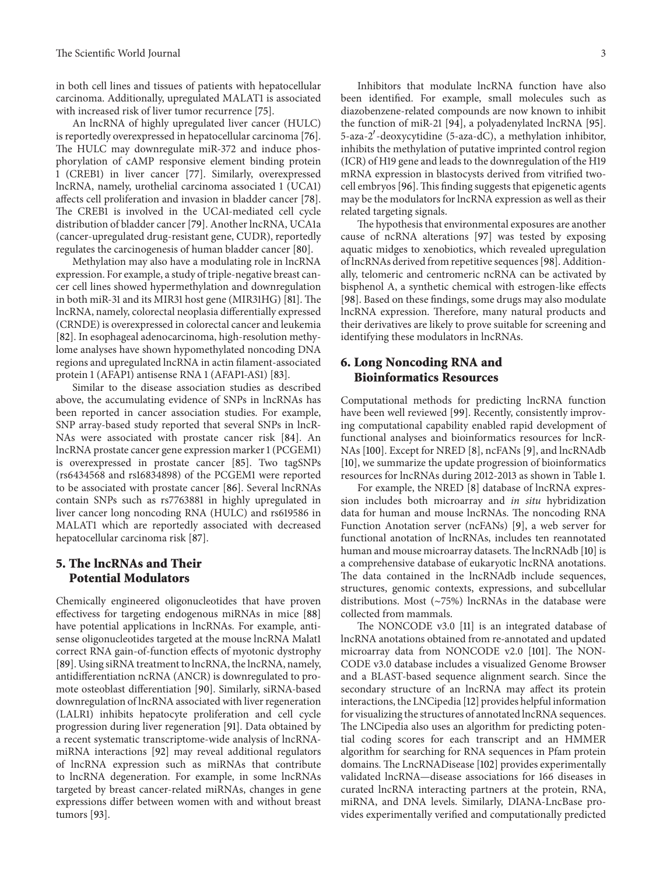in both cell lines and tissues of patients with hepatocellular carcinoma. Additionally, upregulated MALAT1 is associated with increased risk of liver tumor recurrence [\[75\]](#page-5-20).

An lncRNA of highly upregulated liver cancer (HULC) is reportedly overexpressed in hepatocellular carcinoma [\[76\]](#page-5-21). The HULC may downregulate miR-372 and induce phosphorylation of cAMP responsive element binding protein 1 (CREB1) in liver cancer [\[77\]](#page-5-22). Similarly, overexpressed lncRNA, namely, urothelial carcinoma associated 1 (UCA1) affects cell proliferation and invasion in bladder cancer [\[78\]](#page-5-23). The CREB1 is involved in the UCA1-mediated cell cycle distribution of bladder cancer [\[79\]](#page-5-24). Another lncRNA, UCA1a (cancer-upregulated drug-resistant gene, CUDR), reportedly regulates the carcinogenesis of human bladder cancer [\[80](#page-5-25)].

Methylation may also have a modulating role in lncRNA expression. For example, a study of triple-negative breast cancer cell lines showed hypermethylation and downregulation in both miR-31 and its MIR31 host gene (MIR31HG) [\[81](#page-5-26)]. The lncRNA, namely, colorectal neoplasia differentially expressed (CRNDE) is overexpressed in colorectal cancer and leukemia [\[82](#page-5-27)]. In esophageal adenocarcinoma, high-resolution methylome analyses have shown hypomethylated noncoding DNA regions and upregulated lncRNA in actin filament-associated protein 1 (AFAP1) antisense RNA 1 (AFAP1-AS1) [\[83](#page-5-28)].

Similar to the disease association studies as described above, the accumulating evidence of SNPs in lncRNAs has been reported in cancer association studies. For example, SNP array-based study reported that several SNPs in lncR-NAs were associated with prostate cancer risk [\[84](#page-5-29)]. An lncRNA prostate cancer gene expression marker 1 (PCGEM1) is overexpressed in prostate cancer [\[85](#page-5-30)]. Two tagSNPs (rs6434568 and rs16834898) of the PCGEM1 were reported to be associated with prostate cancer [\[86\]](#page-6-0). Several lncRNAs contain SNPs such as rs7763881 in highly upregulated in liver cancer long noncoding RNA (HULC) and rs619586 in MALAT1 which are reportedly associated with decreased hepatocellular carcinoma risk [\[87](#page-6-1)].

## **5. The lncRNAs and Their Potential Modulators**

Chemically engineered oligonucleotides that have proven effectivess for targeting endogenous miRNAs in mice [\[88](#page-6-2)] have potential applications in lncRNAs. For example, antisense oligonucleotides targeted at the mouse lncRNA Malat1 correct RNA gain-of-function effects of myotonic dystrophy [\[89\]](#page-6-3). Using siRNA treatment to lncRNA, the lncRNA, namely, antidifferentiation ncRNA (ANCR) is downregulated to promote osteoblast differentiation [\[90](#page-6-4)]. Similarly, siRNA-based downregulation of lncRNA associated with liver regeneration (LALR1) inhibits hepatocyte proliferation and cell cycle progression during liver regeneration [\[91\]](#page-6-5). Data obtained by a recent systematic transcriptome-wide analysis of lncRNAmiRNA interactions [\[92\]](#page-6-6) may reveal additional regulators of lncRNA expression such as miRNAs that contribute to lncRNA degeneration. For example, in some lncRNAs targeted by breast cancer-related miRNAs, changes in gene expressions differ between women with and without breast tumors [\[93](#page-6-7)].

Inhibitors that modulate lncRNA function have also been identified. For example, small molecules such as diazobenzene-related compounds are now known to inhibit the function of miR-21 [\[94](#page-6-8)], a polyadenylated lncRNA [\[95](#page-6-9)]. 5-aza-2 -deoxycytidine (5-aza-dC), a methylation inhibitor, inhibits the methylation of putative imprinted control region (ICR) of H19 gene and leads to the downregulation of the H19 mRNA expression in blastocysts derived from vitrified twocell embryos [\[96](#page-6-10)].This finding suggests that epigenetic agents may be the modulators for lncRNA expression as well as their related targeting signals.

The hypothesis that environmental exposures are another cause of ncRNA alterations [\[97](#page-6-11)] was tested by exposing aquatic midges to xenobiotics, which revealed upregulation of lncRNAs derived from repetitive sequences [\[98\]](#page-6-12). Additionally, telomeric and centromeric ncRNA can be activated by bisphenol A, a synthetic chemical with estrogen-like effects [\[98\]](#page-6-12). Based on these findings, some drugs may also modulate lncRNA expression. Therefore, many natural products and their derivatives are likely to prove suitable for screening and identifying these modulators in lncRNAs.

## **6. Long Noncoding RNA and Bioinformatics Resources**

Computational methods for predicting lncRNA function have been well reviewed [\[99\]](#page-6-13). Recently, consistently improving computational capability enabled rapid development of functional analyses and bioinformatics resources for lncR-NAs [\[100\]](#page-6-14). Except for NRED [\[8\]](#page-3-7), ncFANs [\[9\]](#page-3-8), and lncRNAdb [\[10](#page-3-9)], we summarize the update progression of bioinformatics resources for lncRNAs during 2012-2013 as shown in Table [1.](#page-3-10)

For example, the NRED [\[8\]](#page-3-7) database of lncRNA expression includes both microarray and *in situ* hybridization data for human and mouse lncRNAs. The noncoding RNA Function Anotation server (ncFANs) [\[9\]](#page-3-8), a web server for functional anotation of lncRNAs, includes ten reannotated human and mouse microarray datasets. The lncRNAdb [\[10](#page-3-9)] is a comprehensive database of eukaryotic lncRNA anotations. The data contained in the lncRNAdb include sequences, structures, genomic contexts, expressions, and subcellular distributions. Most (∼75%) lncRNAs in the database were collected from mammals.

The NONCODE v3.0 [\[11](#page-3-11)] is an integrated database of lncRNA anotations obtained from re-annotated and updated microarray data from NONCODE v2.0 [\[101](#page-6-15)]. The NON-CODE v3.0 database includes a visualized Genome Browser and a BLAST-based sequence alignment search. Since the secondary structure of an lncRNA may affect its protein interactions, the LNCipedia [\[12\]](#page-3-12) provides helpful information for visualizing the structures of annotated lncRNA sequences. The LNCipedia also uses an algorithm for predicting potential coding scores for each transcript and an HMMER algorithm for searching for RNA sequences in Pfam protein domains. The LncRNADisease [\[102\]](#page-6-16) provides experimentally validated lncRNA—disease associations for 166 diseases in curated lncRNA interacting partners at the protein, RNA, miRNA, and DNA levels. Similarly, DIANA-LncBase provides experimentally verified and computationally predicted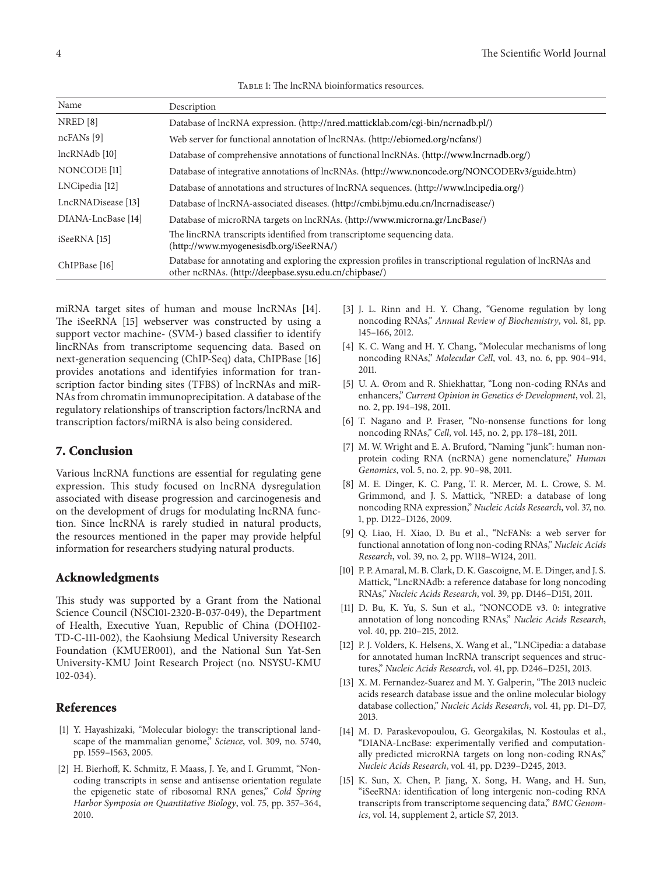<span id="page-3-10"></span>

| TABLE 1: The lncRNA bioinformatics resources. |
|-----------------------------------------------|
|-----------------------------------------------|

| Name                    | Description                                                                                                                                                         |
|-------------------------|---------------------------------------------------------------------------------------------------------------------------------------------------------------------|
| NRED[8]                 | Database of lncRNA expression. (http://nred.matticklab.com/cgi-bin/ncrnadb.pl/)                                                                                     |
| $ncFANs$ [9]            | Web server for functional annotation of lncRNAs. (http://ebiomed.org/ncfans/)                                                                                       |
| lncRNAdb [10]           | Database of comprehensive annotations of functional lncRNAs. (http://www.lncrnadb.org/)                                                                             |
| NONCODE <sup>[11]</sup> | Database of integrative annotations of lncRNAs. (http://www.noncode.org/NONCODERv3/guide.htm)                                                                       |
| LNCipedia [12]          | Database of annotations and structures of lncRNA sequences. (http://www.lncipedia.org/)                                                                             |
| LncRNADisease [13]      | Database of lncRNA-associated diseases. (http://cmbi.bjmu.edu.cn/lncrnadisease/)                                                                                    |
| DIANA-LncBase [14]      | Database of microRNA targets on lncRNAs. (http://www.microrna.gr/LncBase/)                                                                                          |
| iSeeRNA [15]            | The lincRNA transcripts identified from transcriptome sequencing data.<br>(http://www.myogenesisdb.org/iSeeRNA/)                                                    |
| ChIPBase [16]           | Database for annotating and exploring the expression profiles in transcriptional regulation of lncRNAs and<br>other ncRNAs. (http://deepbase.sysu.edu.cn/chipbase/) |

miRNA target sites of human and mouse lncRNAs [\[14\]](#page-3-14). The iSeeRNA [\[15](#page-3-15)] webserver was constructed by using a support vector machine- (SVM-) based classifier to identify lincRNAs from transcriptome sequencing data. Based on next-generation sequencing (ChIP-Seq) data, ChIPBase [\[16](#page-4-32)] provides anotations and identifyies information for transcription factor binding sites (TFBS) of lncRNAs and miR-NAs from chromatin immunoprecipitation. A database of the regulatory relationships of transcription factors/lncRNA and transcription factors/miRNA is also being considered.

### **7. Conclusion**

Various lncRNA functions are essential for regulating gene expression. This study focused on lncRNA dysregulation associated with disease progression and carcinogenesis and on the development of drugs for modulating lncRNA function. Since lncRNA is rarely studied in natural products, the resources mentioned in the paper may provide helpful information for researchers studying natural products.

### **Acknowledgments**

This study was supported by a Grant from the National Science Council (NSC101-2320-B-037-049), the Department of Health, Executive Yuan, Republic of China (DOH102- TD-C-111-002), the Kaohsiung Medical University Research Foundation (KMUER001), and the National Sun Yat-Sen University-KMU Joint Research Project (no. NSYSU-KMU 102-034).

## <span id="page-3-0"></span>**References**

- <span id="page-3-1"></span>[1] Y. Hayashizaki, "Molecular biology: the transcriptional landscape of the mammalian genome," *Science*, vol. 309, no. 5740, pp. 1559–1563, 2005.
- <span id="page-3-2"></span>[2] H. Bierhoff, K. Schmitz, F. Maass, J. Ye, and I. Grummt, "Noncoding transcripts in sense and antisense orientation regulate the epigenetic state of ribosomal RNA genes," *Cold Spring Harbor Symposia on Quantitative Biology*, vol. 75, pp. 357–364, 2010.
- <span id="page-3-3"></span>[3] J. L. Rinn and H. Y. Chang, "Genome regulation by long noncoding RNAs," *Annual Review of Biochemistry*, vol. 81, pp. 145–166, 2012.
- <span id="page-3-4"></span>[4] K. C. Wang and H. Y. Chang, "Molecular mechanisms of long noncoding RNAs," *Molecular Cell*, vol. 43, no. 6, pp. 904–914, 2011.
- [5] U. A. Ørom and R. Shiekhattar, "Long non-coding RNAs and enhancers," *Current Opinion in Genetics & Development*, vol. 21, no. 2, pp. 194–198, 2011.
- <span id="page-3-5"></span>[6] T. Nagano and P. Fraser, "No-nonsense functions for long noncoding RNAs," *Cell*, vol. 145, no. 2, pp. 178–181, 2011.
- <span id="page-3-6"></span>[7] M. W. Wright and E. A. Bruford, "Naming "junk": human nonprotein coding RNA (ncRNA) gene nomenclature," *Human Genomics*, vol. 5, no. 2, pp. 90–98, 2011.
- <span id="page-3-7"></span>[8] M. E. Dinger, K. C. Pang, T. R. Mercer, M. L. Crowe, S. M. Grimmond, and J. S. Mattick, "NRED: a database of long noncoding RNA expression," *Nucleic Acids Research*, vol. 37, no. 1, pp. D122–D126, 2009.
- <span id="page-3-8"></span>[9] Q. Liao, H. Xiao, D. Bu et al., "NcFANs: a web server for functional annotation of long non-coding RNAs," *Nucleic Acids Research*, vol. 39, no. 2, pp. W118–W124, 2011.
- <span id="page-3-9"></span>[10] P. P. Amaral, M. B. Clark, D. K. Gascoigne, M. E. Dinger, and J. S. Mattick, "LncRNAdb: a reference database for long noncoding RNAs," *Nucleic Acids Research*, vol. 39, pp. D146–D151, 2011.
- <span id="page-3-11"></span>[11] D. Bu, K. Yu, S. Sun et al., "NONCODE v3. 0: integrative annotation of long noncoding RNAs," *Nucleic Acids Research*, vol. 40, pp. 210–215, 2012.
- <span id="page-3-12"></span>[12] P. J. Volders, K. Helsens, X. Wang et al., "LNCipedia: a database for annotated human lncRNA transcript sequences and structures," *Nucleic Acids Research*, vol. 41, pp. D246–D251, 2013.
- <span id="page-3-13"></span>[13] X. M. Fernandez-Suarez and M. Y. Galperin, "The 2013 nucleic acids research database issue and the online molecular biology database collection," *Nucleic Acids Research*, vol. 41, pp. D1–D7, 2013.
- <span id="page-3-14"></span>[14] M. D. Paraskevopoulou, G. Georgakilas, N. Kostoulas et al., "DIANA-LncBase: experimentally verified and computationally predicted microRNA targets on long non-coding RNAs," *Nucleic Acids Research*, vol. 41, pp. D239–D245, 2013.
- <span id="page-3-15"></span>[15] K. Sun, X. Chen, P. Jiang, X. Song, H. Wang, and H. Sun, "iSeeRNA: identification of long intergenic non-coding RNA transcripts from transcriptome sequencing data," *BMC Genomics*, vol. 14, supplement 2, article S7, 2013.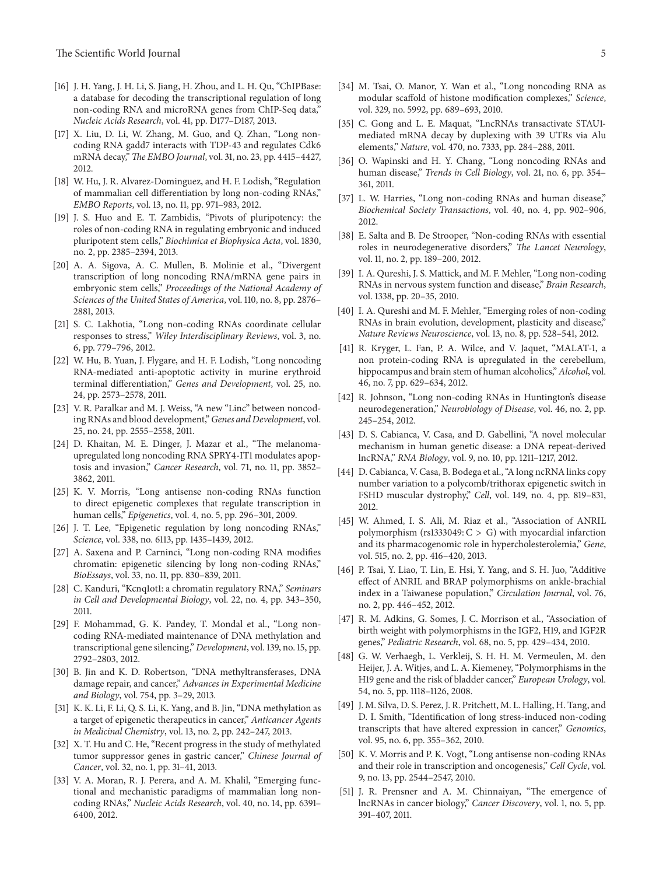- <span id="page-4-32"></span>[16] J. H. Yang, J. H. Li, S. Jiang, H. Zhou, and L. H. Qu, "ChIPBase: a database for decoding the transcriptional regulation of long non-coding RNA and microRNA genes from ChIP-Seq data," *Nucleic Acids Research*, vol. 41, pp. D177–D187, 2013.
- <span id="page-4-0"></span>[17] X. Liu, D. Li, W. Zhang, M. Guo, and Q. Zhan, "Long noncoding RNA gadd7 interacts with TDP-43 and regulates Cdk6 mRNA decay," *The EMBO Journal*, vol. 31, no. 23, pp. 4415–4427, 2012.
- <span id="page-4-1"></span>[18] W. Hu, J. R. Alvarez-Dominguez, and H. F. Lodish, "Regulation of mammalian cell differentiation by long non-coding RNAs," *EMBO Reports*, vol. 13, no. 11, pp. 971–983, 2012.
- <span id="page-4-2"></span>[19] J. S. Huo and E. T. Zambidis, "Pivots of pluripotency: the roles of non-coding RNA in regulating embryonic and induced pluripotent stem cells," *Biochimica et Biophysica Acta*, vol. 1830, no. 2, pp. 2385–2394, 2013.
- <span id="page-4-3"></span>[20] A. A. Sigova, A. C. Mullen, B. Molinie et al., "Divergent transcription of long noncoding RNA/mRNA gene pairs in embryonic stem cells," *Proceedings of the National Academy of Sciences of the United States of America*, vol. 110, no. 8, pp. 2876– 2881, 2013.
- <span id="page-4-4"></span>[21] S. C. Lakhotia, "Long non-coding RNAs coordinate cellular responses to stress," *Wiley Interdisciplinary Reviews*, vol. 3, no. 6, pp. 779–796, 2012.
- <span id="page-4-5"></span>[22] W. Hu, B. Yuan, J. Flygare, and H. F. Lodish, "Long noncoding RNA-mediated anti-apoptotic activity in murine erythroid terminal differentiation," *Genes and Development*, vol. 25, no. 24, pp. 2573–2578, 2011.
- <span id="page-4-6"></span>[23] V. R. Paralkar and M. J. Weiss, "A new "Linc" between noncoding RNAs and blood development,"*Genes and Development*, vol. 25, no. 24, pp. 2555–2558, 2011.
- <span id="page-4-7"></span>[24] D. Khaitan, M. E. Dinger, J. Mazar et al., "The melanomaupregulated long noncoding RNA SPRY4-IT1 modulates apoptosis and invasion," *Cancer Research*, vol. 71, no. 11, pp. 3852– 3862, 2011.
- <span id="page-4-8"></span>[25] K. V. Morris, "Long antisense non-coding RNAs function to direct epigenetic complexes that regulate transcription in human cells," *Epigenetics*, vol. 4, no. 5, pp. 296–301, 2009.
- <span id="page-4-9"></span>[26] J. T. Lee, "Epigenetic regulation by long noncoding RNAs," *Science*, vol. 338, no. 6113, pp. 1435–1439, 2012.
- <span id="page-4-10"></span>[27] A. Saxena and P. Carninci, "Long non-coding RNA modifies chromatin: epigenetic silencing by long non-coding RNAs," *BioEssays*, vol. 33, no. 11, pp. 830–839, 2011.
- <span id="page-4-11"></span>[28] C. Kanduri, "Kcnq1ot1: a chromatin regulatory RNA," *Seminars in Cell and Developmental Biology*, vol. 22, no. 4, pp. 343–350, 2011.
- <span id="page-4-12"></span>[29] F. Mohammad, G. K. Pandey, T. Mondal et al., "Long noncoding RNA-mediated maintenance of DNA methylation and transcriptional gene silencing," *Development*, vol. 139, no. 15, pp. 2792–2803, 2012.
- <span id="page-4-13"></span>[30] B. Jin and K. D. Robertson, "DNA methyltransferases, DNA damage repair, and cancer," *Advances in Experimental Medicine and Biology*, vol. 754, pp. 3–29, 2013.
- [31] K. K. Li, F. Li, Q. S. Li, K. Yang, and B. Jin, "DNA methylation as a target of epigenetic therapeutics in cancer," *Anticancer Agents in Medicinal Chemistry*, vol. 13, no. 2, pp. 242–247, 2013.
- <span id="page-4-14"></span>[32] X. T. Hu and C. He, "Recent progress in the study of methylated tumor suppressor genes in gastric cancer," *Chinese Journal of Cancer*, vol. 32, no. 1, pp. 31–41, 2013.
- <span id="page-4-15"></span>[33] V. A. Moran, R. J. Perera, and A. M. Khalil, "Emerging functional and mechanistic paradigms of mammalian long noncoding RNAs," *Nucleic Acids Research*, vol. 40, no. 14, pp. 6391– 6400, 2012.
- <span id="page-4-16"></span>[34] M. Tsai, O. Manor, Y. Wan et al., "Long noncoding RNA as modular scaffold of histone modification complexes," *Science*, vol. 329, no. 5992, pp. 689–693, 2010.
- <span id="page-4-17"></span>[35] C. Gong and L. E. Maquat, "LncRNAs transactivate STAU1 mediated mRNA decay by duplexing with 39 UTRs via Alu elements," *Nature*, vol. 470, no. 7333, pp. 284–288, 2011.
- <span id="page-4-18"></span>[36] O. Wapinski and H. Y. Chang, "Long noncoding RNAs and human disease," *Trends in Cell Biology*, vol. 21, no. 6, pp. 354– 361, 2011.
- <span id="page-4-19"></span>[37] L. W. Harries, "Long non-coding RNAs and human disease," *Biochemical Society Transactions*, vol. 40, no. 4, pp. 902–906, 2012.
- <span id="page-4-20"></span>[38] E. Salta and B. De Strooper, "Non-coding RNAs with essential roles in neurodegenerative disorders," *The Lancet Neurology*, vol. 11, no. 2, pp. 189–200, 2012.
- <span id="page-4-21"></span>[39] I. A. Qureshi, J. S. Mattick, and M. F. Mehler, "Long non-coding RNAs in nervous system function and disease," *Brain Research*, vol. 1338, pp. 20–35, 2010.
- <span id="page-4-22"></span>[40] I. A. Qureshi and M. F. Mehler, "Emerging roles of non-coding RNAs in brain evolution, development, plasticity and disease," *Nature Reviews Neuroscience*, vol. 13, no. 8, pp. 528–541, 2012.
- <span id="page-4-23"></span>[41] R. Kryger, L. Fan, P. A. Wilce, and V. Jaquet, "MALAT-1, a non protein-coding RNA is upregulated in the cerebellum, hippocampus and brain stem of human alcoholics," *Alcohol*, vol. 46, no. 7, pp. 629–634, 2012.
- <span id="page-4-24"></span>[42] R. Johnson, "Long non-coding RNAs in Huntington's disease neurodegeneration," *Neurobiology of Disease*, vol. 46, no. 2, pp. 245–254, 2012.
- <span id="page-4-25"></span>[43] D. S. Cabianca, V. Casa, and D. Gabellini, "A novel molecular mechanism in human genetic disease: a DNA repeat-derived lncRNA," *RNA Biology*, vol. 9, no. 10, pp. 1211–1217, 2012.
- <span id="page-4-26"></span>[44] D. Cabianca, V. Casa, B. Bodega et al., "A long ncRNA links copy number variation to a polycomb/trithorax epigenetic switch in FSHD muscular dystrophy," *Cell*, vol. 149, no. 4, pp. 819–831, 2012.
- <span id="page-4-27"></span>[45] W. Ahmed, I. S. Ali, M. Riaz et al., "Association of ANRIL polymorphism (rs1333049:  $C > G$ ) with myocardial infarction and its pharmacogenomic role in hypercholesterolemia," *Gene*, vol. 515, no. 2, pp. 416–420, 2013.
- <span id="page-4-28"></span>[46] P. Tsai, Y. Liao, T. Lin, E. Hsi, Y. Yang, and S. H. Juo, "Additive effect of ANRIL and BRAP polymorphisms on ankle-brachial index in a Taiwanese population," *Circulation Journal*, vol. 76, no. 2, pp. 446–452, 2012.
- <span id="page-4-29"></span>[47] R. M. Adkins, G. Somes, J. C. Morrison et al., "Association of birth weight with polymorphisms in the IGF2, H19, and IGF2R genes," *Pediatric Research*, vol. 68, no. 5, pp. 429–434, 2010.
- <span id="page-4-30"></span>[48] G. W. Verhaegh, L. Verkleij, S. H. H. M. Vermeulen, M. den Heijer, J. A. Witjes, and L. A. Kiemeney, "Polymorphisms in the H19 gene and the risk of bladder cancer," *European Urology*, vol. 54, no. 5, pp. 1118–1126, 2008.
- <span id="page-4-31"></span>[49] J. M. Silva, D. S. Perez, J. R. Pritchett, M. L. Halling, H. Tang, and D. I. Smith, "Identification of long stress-induced non-coding transcripts that have altered expression in cancer," *Genomics*, vol. 95, no. 6, pp. 355–362, 2010.
- [50] K. V. Morris and P. K. Vogt, "Long antisense non-coding RNAs and their role in transcription and oncogenesis," *Cell Cycle*, vol. 9, no. 13, pp. 2544–2547, 2010.
- [51] J. R. Prensner and A. M. Chinnaiyan, "The emergence of lncRNAs in cancer biology," *Cancer Discovery*, vol. 1, no. 5, pp. 391–407, 2011.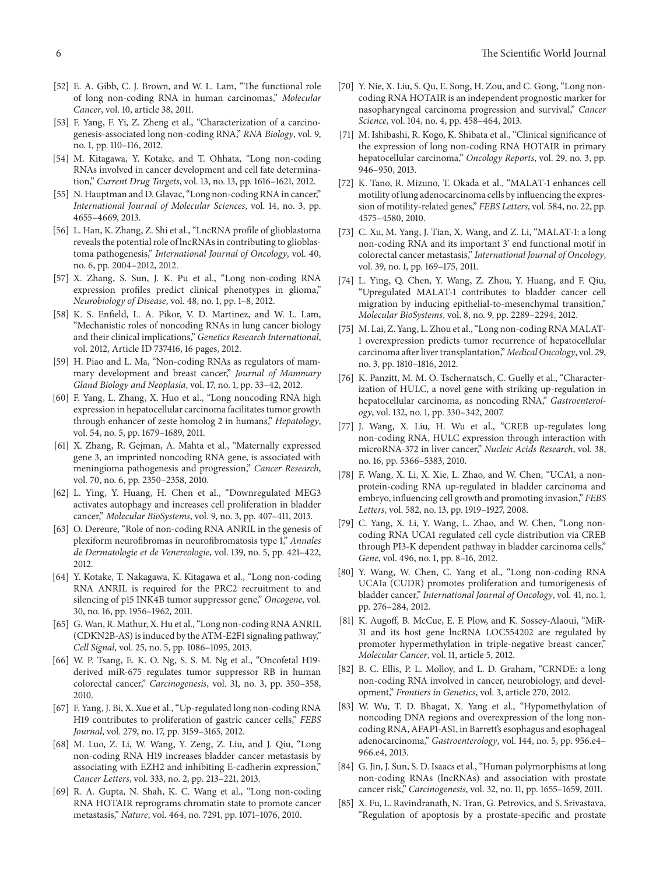- [52] E. A. Gibb, C. J. Brown, and W. L. Lam, "The functional role of long non-coding RNA in human carcinomas," *Molecular Cancer*, vol. 10, article 38, 2011.
- [53] F. Yang, F. Yi, Z. Zheng et al., "Characterization of a carcinogenesis-associated long non-coding RNA," *RNA Biology*, vol. 9, no. 1, pp. 110–116, 2012.
- [54] M. Kitagawa, Y. Kotake, and T. Ohhata, "Long non-coding RNAs involved in cancer development and cell fate determination," *Current Drug Targets*, vol. 13, no. 13, pp. 1616–1621, 2012.
- <span id="page-5-0"></span>[55] N. Hauptman and D. Glavac, "Long non-coding RNA in cancer," *International Journal of Molecular Sciences*, vol. 14, no. 3, pp. 4655–4669, 2013.
- <span id="page-5-1"></span>[56] L. Han, K. Zhang, Z. Shi et al., "LncRNA profile of glioblastoma reveals the potential role of lncRNAs in contributing to glioblastoma pathogenesis," *International Journal of Oncology*, vol. 40, no. 6, pp. 2004–2012, 2012.
- <span id="page-5-2"></span>[57] X. Zhang, S. Sun, J. K. Pu et al., "Long non-coding RNA expression profiles predict clinical phenotypes in glioma," *Neurobiology of Disease*, vol. 48, no. 1, pp. 1–8, 2012.
- <span id="page-5-3"></span>[58] K. S. Enfield, L. A. Pikor, V. D. Martinez, and W. L. Lam, "Mechanistic roles of noncoding RNAs in lung cancer biology and their clinical implications," *Genetics Research International*, vol. 2012, Article ID 737416, 16 pages, 2012.
- <span id="page-5-4"></span>[59] H. Piao and L. Ma, "Non-coding RNAs as regulators of mammary development and breast cancer," *Journal of Mammary Gland Biology and Neoplasia*, vol. 17, no. 1, pp. 33–42, 2012.
- <span id="page-5-5"></span>[60] F. Yang, L. Zhang, X. Huo et al., "Long noncoding RNA high expression in hepatocellular carcinoma facilitates tumor growth through enhancer of zeste homolog 2 in humans," *Hepatology*, vol. 54, no. 5, pp. 1679–1689, 2011.
- <span id="page-5-6"></span>[61] X. Zhang, R. Gejman, A. Mahta et al., "Maternally expressed gene 3, an imprinted noncoding RNA gene, is associated with meningioma pathogenesis and progression," *Cancer Research*, vol. 70, no. 6, pp. 2350–2358, 2010.
- <span id="page-5-7"></span>[62] L. Ying, Y. Huang, H. Chen et al., "Downregulated MEG3 activates autophagy and increases cell proliferation in bladder cancer," *Molecular BioSystems*, vol. 9, no. 3, pp. 407–411, 2013.
- <span id="page-5-8"></span>[63] O. Dereure, "Role of non-coding RNA ANRIL in the genesis of plexiform neurofibromas in neurofibromatosis type 1," *Annales de Dermatologie et de Venereologie*, vol. 139, no. 5, pp. 421–422, 2012.
- <span id="page-5-9"></span>[64] Y. Kotake, T. Nakagawa, K. Kitagawa et al., "Long non-coding RNA ANRIL is required for the PRC2 recruitment to and silencing of p15 INK4B tumor suppressor gene," *Oncogene*, vol. 30, no. 16, pp. 1956–1962, 2011.
- <span id="page-5-10"></span>[65] G. Wan, R. Mathur, X. Hu et al., "Long non-coding RNA ANRIL (CDKN2B-AS) is induced by the ATM-E2F1 signaling pathway," *Cell Signal*, vol. 25, no. 5, pp. 1086–1095, 2013.
- <span id="page-5-11"></span>[66] W. P. Tsang, E. K. O. Ng, S. S. M. Ng et al., "Oncofetal H19 derived miR-675 regulates tumor suppressor RB in human colorectal cancer," *Carcinogenesis*, vol. 31, no. 3, pp. 350–358, 2010.
- <span id="page-5-12"></span>[67] F. Yang, J. Bi, X. Xue et al., "Up-regulated long non-coding RNA H19 contributes to proliferation of gastric cancer cells," *FEBS Journal*, vol. 279, no. 17, pp. 3159–3165, 2012.
- <span id="page-5-13"></span>[68] M. Luo, Z. Li, W. Wang, Y. Zeng, Z. Liu, and J. Qiu, "Long non-coding RNA H19 increases bladder cancer metastasis by associating with EZH2 and inhibiting E-cadherin expression," *Cancer Letters*, vol. 333, no. 2, pp. 213–221, 2013.
- <span id="page-5-14"></span>[69] R. A. Gupta, N. Shah, K. C. Wang et al., "Long non-coding RNA HOTAIR reprograms chromatin state to promote cancer metastasis," *Nature*, vol. 464, no. 7291, pp. 1071–1076, 2010.
- <span id="page-5-15"></span>[70] Y. Nie, X. Liu, S. Qu, E. Song, H. Zou, and C. Gong, "Long noncoding RNA HOTAIR is an independent prognostic marker for nasopharyngeal carcinoma progression and survival," *Cancer Science*, vol. 104, no. 4, pp. 458–464, 2013.
- <span id="page-5-16"></span>[71] M. Ishibashi, R. Kogo, K. Shibata et al., "Clinical significance of the expression of long non-coding RNA HOTAIR in primary hepatocellular carcinoma," *Oncology Reports*, vol. 29, no. 3, pp. 946–950, 2013.
- <span id="page-5-17"></span>[72] K. Tano, R. Mizuno, T. Okada et al., "MALAT-1 enhances cell motility of lung adenocarcinoma cells by influencing the expression of motility-related genes," *FEBS Letters*, vol. 584, no. 22, pp. 4575–4580, 2010.
- <span id="page-5-18"></span>[73] C. Xu, M. Yang, J. Tian, X. Wang, and Z. Li, "MALAT-1: a long non-coding RNA and its important 3' end functional motif in colorectal cancer metastasis," *International Journal of Oncology*, vol. 39, no. 1, pp. 169–175, 2011.
- <span id="page-5-19"></span>[74] L. Ying, Q. Chen, Y. Wang, Z. Zhou, Y. Huang, and F. Qiu, "Upregulated MALAT-1 contributes to bladder cancer cell migration by inducing epithelial-to-mesenchymal transition," *Molecular BioSystems*, vol. 8, no. 9, pp. 2289–2294, 2012.
- <span id="page-5-20"></span>[75] M. Lai, Z. Yang, L. Zhou et al., "Long non-coding RNA MALAT-1 overexpression predicts tumor recurrence of hepatocellular carcinoma after liver transplantation," *Medical Oncology*, vol. 29, no. 3, pp. 1810–1816, 2012.
- <span id="page-5-21"></span>[76] K. Panzitt, M. M. O. Tschernatsch, C. Guelly et al., "Characterization of HULC, a novel gene with striking up-regulation in hepatocellular carcinoma, as noncoding RNA," *Gastroenterology*, vol. 132, no. 1, pp. 330–342, 2007.
- <span id="page-5-22"></span>[77] J. Wang, X. Liu, H. Wu et al., "CREB up-regulates long non-coding RNA, HULC expression through interaction with microRNA-372 in liver cancer," *Nucleic Acids Research*, vol. 38, no. 16, pp. 5366–5383, 2010.
- <span id="page-5-23"></span>[78] F. Wang, X. Li, X. Xie, L. Zhao, and W. Chen, "UCA1, a nonprotein-coding RNA up-regulated in bladder carcinoma and embryo, influencing cell growth and promoting invasion," *FEBS Letters*, vol. 582, no. 13, pp. 1919–1927, 2008.
- <span id="page-5-24"></span>[79] C. Yang, X. Li, Y. Wang, L. Zhao, and W. Chen, "Long noncoding RNA UCA1 regulated cell cycle distribution via CREB through PI3-K dependent pathway in bladder carcinoma cells," *Gene*, vol. 496, no. 1, pp. 8–16, 2012.
- <span id="page-5-25"></span>[80] Y. Wang, W. Chen, C. Yang et al., "Long non-coding RNA UCA1a (CUDR) promotes proliferation and tumorigenesis of bladder cancer," *International Journal of Oncology*, vol. 41, no. 1, pp. 276–284, 2012.
- <span id="page-5-26"></span>[81] K. Augoff, B. McCue, E. F. Plow, and K. Sossey-Alaoui, "MiR-31 and its host gene lncRNA LOC554202 are regulated by promoter hypermethylation in triple-negative breast cancer," *Molecular Cancer*, vol. 11, article 5, 2012.
- <span id="page-5-27"></span>[82] B. C. Ellis, P. L. Molloy, and L. D. Graham, "CRNDE: a long non-coding RNA involved in cancer, neurobiology, and development," *Frontiers in Genetics*, vol. 3, article 270, 2012.
- <span id="page-5-28"></span>[83] W. Wu, T. D. Bhagat, X. Yang et al., "Hypomethylation of noncoding DNA regions and overexpression of the long noncoding RNA, AFAP1-AS1, in Barrett's esophagus and esophageal adenocarcinoma," *Gastroenterology*, vol. 144, no. 5, pp. 956.e4– 966.e4, 2013.
- <span id="page-5-29"></span>[84] G. Jin, J. Sun, S. D. Isaacs et al., "Human polymorphisms at long non-coding RNAs (lncRNAs) and association with prostate cancer risk," *Carcinogenesis*, vol. 32, no. 11, pp. 1655–1659, 2011.
- <span id="page-5-30"></span>[85] X. Fu, L. Ravindranath, N. Tran, G. Petrovics, and S. Srivastava, "Regulation of apoptosis by a prostate-specific and prostate